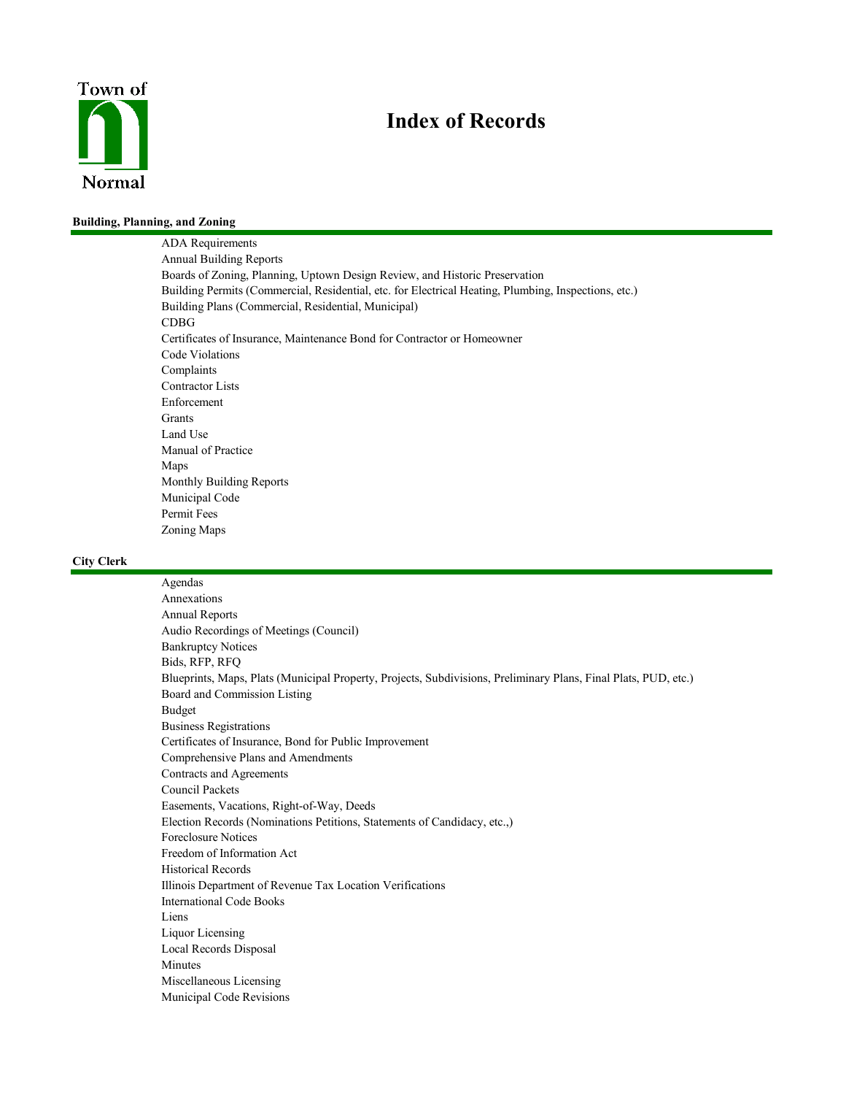

# **Index of Records**

#### **Building, Planning, and Zoning**

ADA Requirements Annual Building Reports Boards of Zoning, Planning, Uptown Design Review, and Historic Preservation Building Permits (Commercial, Residential, etc. for Electrical Heating, Plumbing, Inspections, etc.) Building Plans (Commercial, Residential, Municipal) CDBG Certificates of Insurance, Maintenance Bond for Contractor or Homeowner Code Violations Complaints Contractor Lists Enforcement Grants Land Use Manual of Practice Maps Monthly Building Reports Municipal Code Permit Fees Zoning Maps

#### **City Clerk**

Agendas Annexations Annual Reports Audio Recordings of Meetings (Council) Bankruptcy Notices Bids, RFP, RFQ Blueprints, Maps, Plats (Municipal Property, Projects, Subdivisions, Preliminary Plans, Final Plats, PUD, etc.) Board and Commission Listing Budget Business Registrations Certificates of Insurance, Bond for Public Improvement Comprehensive Plans and Amendments Contracts and Agreements Council Packets Easements, Vacations, Right-of-Way, Deeds Election Records (Nominations Petitions, Statements of Candidacy, etc.,) Foreclosure Notices Freedom of Information Act Historical Records Illinois Department of Revenue Tax Location Verifications International Code Books Liens Liquor Licensing Local Records Disposal Minutes Miscellaneous Licensing Municipal Code Revisions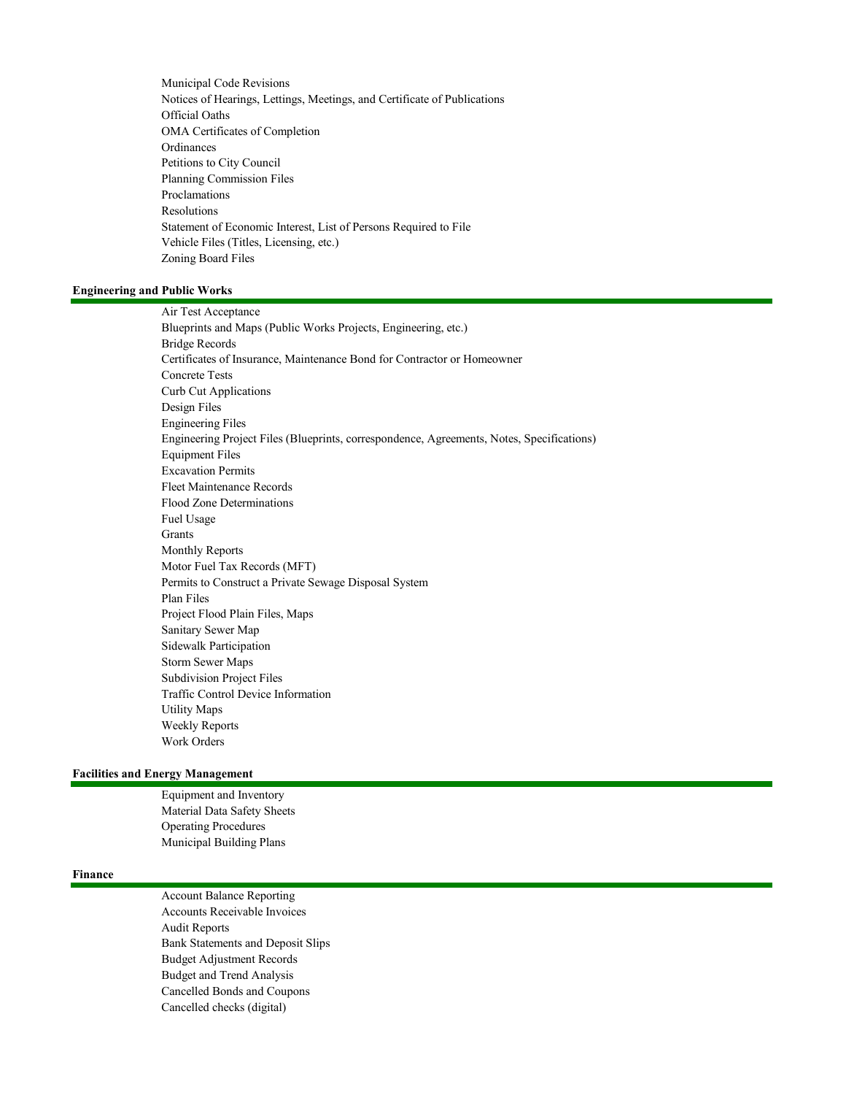Municipal Code Revisions Notices of Hearings, Lettings, Meetings, and Certificate of Publications Official Oaths OMA Certificates of Completion Ordinances Petitions to City Council Planning Commission Files Proclamations Resolutions Statement of Economic Interest, List of Persons Required to File Vehicle Files (Titles, Licensing, etc.) Zoning Board Files

#### **Engineering and Public Works**

Air Test Acceptance Blueprints and Maps (Public Works Projects, Engineering, etc.) Bridge Records Certificates of Insurance, Maintenance Bond for Contractor or Homeowner Concrete Tests Curb Cut Applications Design Files Engineering Files Engineering Project Files (Blueprints, correspondence, Agreements, Notes, Specifications) Equipment Files Excavation Permits Fleet Maintenance Records Flood Zone Determinations Fuel Usage Grants Monthly Reports Motor Fuel Tax Records (MFT) Permits to Construct a Private Sewage Disposal System Plan Files Project Flood Plain Files, Maps Sanitary Sewer Map Sidewalk Participation Storm Sewer Maps Subdivision Project Files Traffic Control Device Information Utility Maps Weekly Reports Work Orders

# **Facilities and Energy Management**

Equipment and Inventory Material Data Safety Sheets Operating Procedures Municipal Building Plans

#### **Finance**

Account Balance Reporting Accounts Receivable Invoices Audit Reports Bank Statements and Deposit Slips Budget Adjustment Records Budget and Trend Analysis Cancelled Bonds and Coupons Cancelled checks (digital)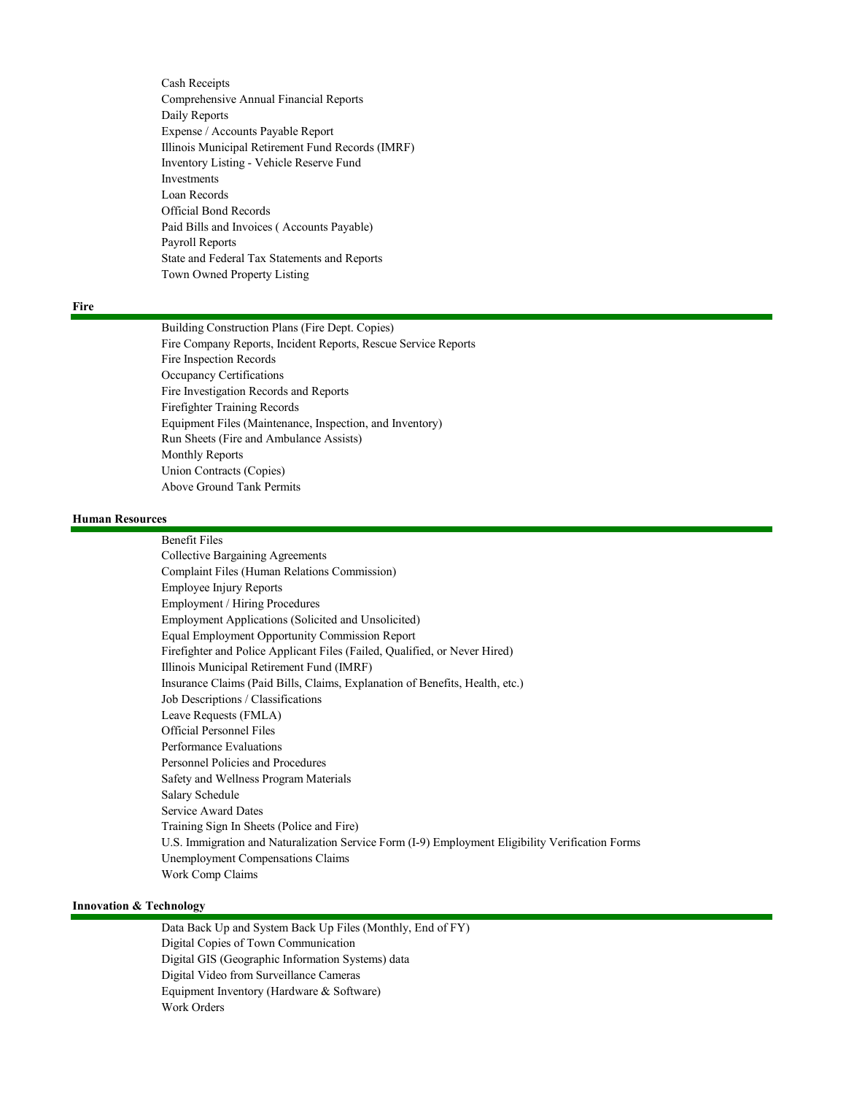Cash Receipts Comprehensive Annual Financial Reports Daily Reports Expense / Accounts Payable Report Illinois Municipal Retirement Fund Records (IMRF) Inventory Listing - Vehicle Reserve Fund Investments Loan Records Official Bond Records Paid Bills and Invoices ( Accounts Payable) Payroll Reports State and Federal Tax Statements and Reports Town Owned Property Listing

# **Fire**

Building Construction Plans (Fire Dept. Copies) Fire Company Reports, Incident Reports, Rescue Service Reports Fire Inspection Records Occupancy Certifications Fire Investigation Records and Reports Firefighter Training Records Equipment Files (Maintenance, Inspection, and Inventory) Run Sheets (Fire and Ambulance Assists) Monthly Reports Union Contracts (Copies) Above Ground Tank Permits

# **Human Resources**

Benefit Files Collective Bargaining Agreements Complaint Files (Human Relations Commission) Employee Injury Reports Employment / Hiring Procedures Employment Applications (Solicited and Unsolicited) Equal Employment Opportunity Commission Report Firefighter and Police Applicant Files (Failed, Qualified, or Never Hired) Illinois Municipal Retirement Fund (IMRF) Insurance Claims (Paid Bills, Claims, Explanation of Benefits, Health, etc.) Job Descriptions / Classifications Leave Requests (FMLA) Official Personnel Files Performance Evaluations Personnel Policies and Procedures Safety and Wellness Program Materials Salary Schedule Service Award Dates Training Sign In Sheets (Police and Fire) U.S. Immigration and Naturalization Service Form (I-9) Employment Eligibility Verification Forms Unemployment Compensations Claims Work Comp Claims

### **Innovation & Technology**

Data Back Up and System Back Up Files (Monthly, End of FY) Digital Copies of Town Communication Digital GIS (Geographic Information Systems) data Digital Video from Surveillance Cameras Equipment Inventory (Hardware & Software) Work Orders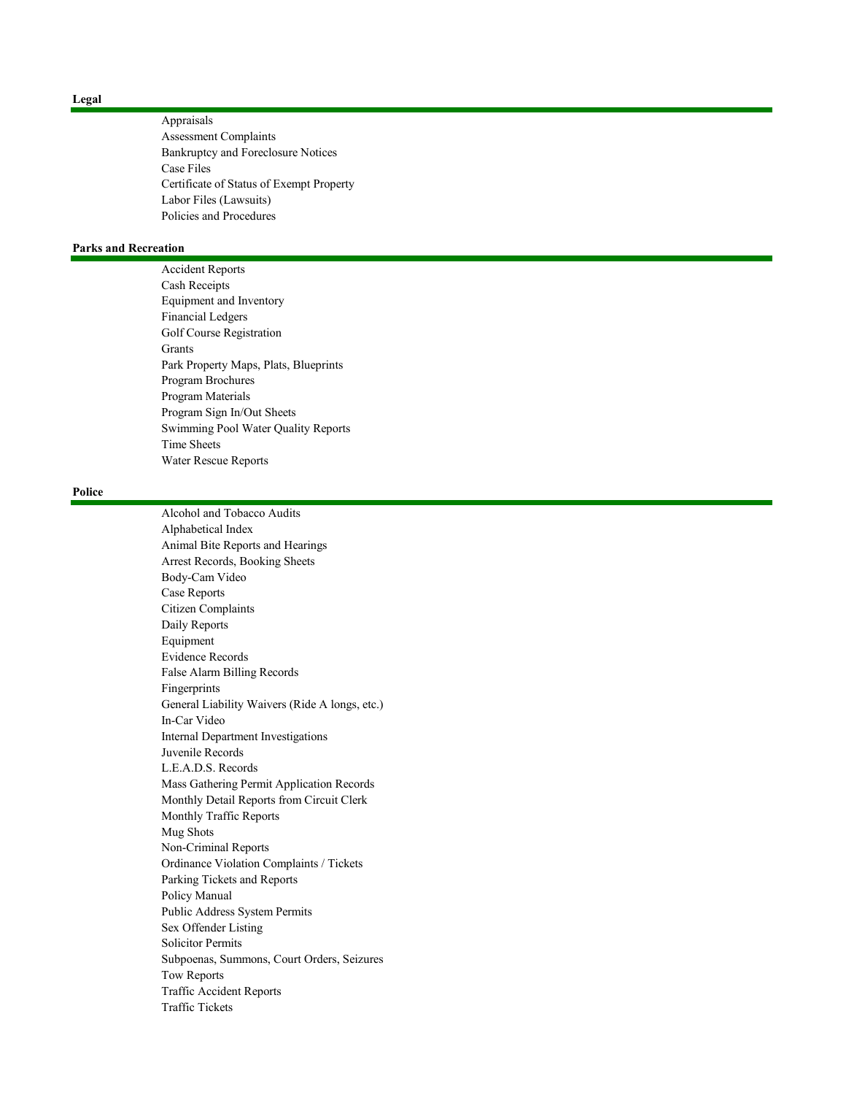Appraisals Assessment Complaints Bankruptcy and Foreclosure Notices Case Files Certificate of Status of Exempt Property Labor Files (Lawsuits) Policies and Procedures

# **Parks and Recreation**

Accident Reports Cash Receipts Equipment and Inventory Financial Ledgers Golf Course Registration Grants Park Property Maps, Plats, Blueprints Program Brochures Program Materials Program Sign In/Out Sheets Swimming Pool Water Quality Reports Time Sheets Water Rescue Reports

#### **Police**

Alcohol and Tobacco Audits Alphabetical Index Animal Bite Reports and Hearings Arrest Records, Booking Sheets Body-Cam Video Case Reports Citizen Complaints Daily Reports Equipment Evidence Records False Alarm Billing Records Fingerprints General Liability Waivers (Ride A longs, etc.) In-Car Video Internal Department Investigations Juvenile Records L.E.A.D.S. Records Mass Gathering Permit Application Records Monthly Detail Reports from Circuit Clerk Monthly Traffic Reports Mug Shots Non-Criminal Reports Ordinance Violation Complaints / Tickets Parking Tickets and Reports Policy Manual Public Address System Permits Sex Offender Listing Solicitor Permits Subpoenas, Summons, Court Orders, Seizures Tow Reports Traffic Accident Reports Traffic Tickets

#### **Legal**